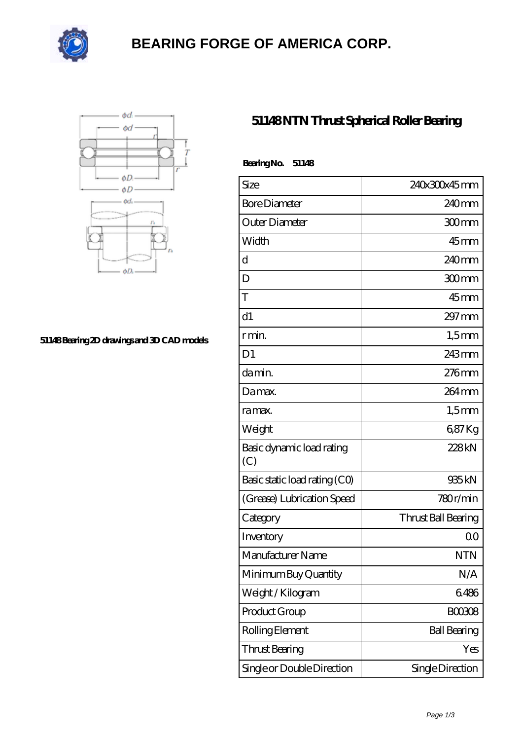

# **[BEARING FORGE OF AMERICA CORP.](https://nskf-bearings.com)**



#### **[51148 Bearing 2D drawings and 3D CAD models](https://nskf-bearings.com/pic-1030229.html)**

### **[51148 NTN Thrust Spherical Roller Bearing](https://nskf-bearings.com/thrust-spherical-roller-bearing/51148.html)**

| Bearing No.<br>51148             |                     |
|----------------------------------|---------------------|
| Size                             | 240x300x45mm        |
| <b>Bore Diameter</b>             | 240 <sub>mm</sub>   |
| Outer Diameter                   | $300$ mm            |
| Width                            | $45$ mm             |
| d                                | 240 <sub>mm</sub>   |
| D                                | 300mm               |
| T                                | $45$ mm             |
| d1                               | $297 \text{mm}$     |
| r min.                           | $1,5$ mm            |
| D <sub>1</sub>                   | 243mm               |
| da min.                          | 276mm               |
| Damax.                           | 264 mm              |
| ra max.                          | $1,5$ mm            |
| Weight                           | 687Kg               |
| Basic dynamic load rating<br>(C) | 228kN               |
| Basic static load rating (CO)    | 935kN               |
| (Grease) Lubrication Speed       | 780r/min            |
| Category                         | Thrust Ball Bearing |
| Inventory                        | 0 <sup>0</sup>      |
| Manufacturer Name                | NTN                 |
| Minimum Buy Quantity             | N/A                 |
| Weight / Kilogram                | 6486                |
| Product Group                    | <b>BOO3O8</b>       |
| Rolling Element                  | <b>Ball Bearing</b> |
| Thrust Bearing                   | Yes                 |
| Single or Double Direction       | Single Direction    |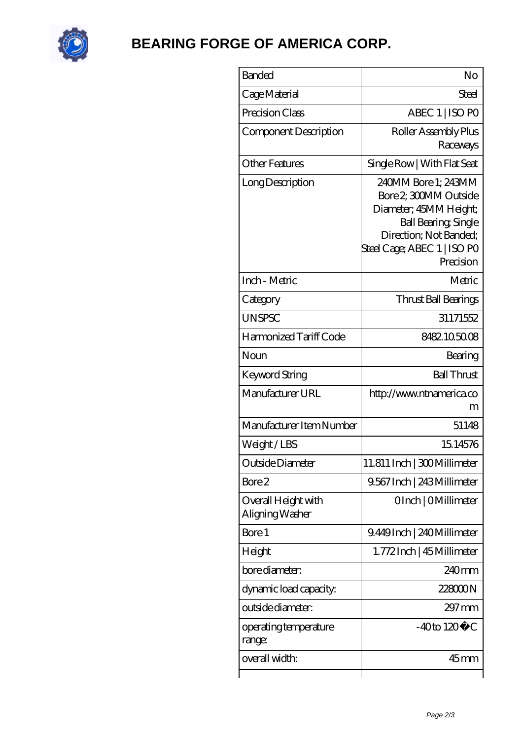

## **[BEARING FORGE OF AMERICA CORP.](https://nskf-bearings.com)**

| <b>Banded</b>                          | No                                                                                                                                                                         |
|----------------------------------------|----------------------------------------------------------------------------------------------------------------------------------------------------------------------------|
| Cage Material                          | Steel                                                                                                                                                                      |
| Precision Class                        | ABEC 1   ISO PO                                                                                                                                                            |
| Component Description                  | Roller Assembly Plus<br>Raceways                                                                                                                                           |
| Other Features                         | Single Row   With Flat Seat                                                                                                                                                |
| Long Description                       | 240MM Bore 1; 243MM<br>Bore 2 300MM Outside<br>Diameter; 45MM Height;<br><b>Ball Bearing, Single</b><br>Direction; Not Banded;<br>Steel Cage; ABEC 1   ISO PO<br>Precision |
| Inch - Metric                          | Metric                                                                                                                                                                     |
| Category                               | Thrust Ball Bearings                                                                                                                                                       |
| <b>UNSPSC</b>                          | 31171552                                                                                                                                                                   |
| Harmonized Tariff Code                 | 8482105008                                                                                                                                                                 |
| Noun                                   | Bearing                                                                                                                                                                    |
| Keyword String                         | <b>Ball Thrust</b>                                                                                                                                                         |
| Manufacturer URL                       | http://www.ntnamerica.co<br>m                                                                                                                                              |
| Manufacturer Item Number               | 51148                                                                                                                                                                      |
| Weight/LBS                             | 15,14576                                                                                                                                                                   |
| Outside Diameter                       | 11.811 Inch   300 Millimeter                                                                                                                                               |
| Bore 2                                 | 9.567 Inch   243 Millimeter                                                                                                                                                |
| Overall Height with<br>Aligning Washer | OInch   OMillimeter                                                                                                                                                        |
| Bore 1                                 | 9.449Inch   240Millimeter                                                                                                                                                  |
| Height                                 | 1.772 Inch   45 Millimeter                                                                                                                                                 |
| bore diameter:                         | 240mm                                                                                                                                                                      |
| dynamic load capacity:                 | 228000N                                                                                                                                                                    |
| outside diameter:                      | $297 \,\mathrm{mm}$                                                                                                                                                        |
| operating temperature<br>range:        | $-40$ to $120^{\circ}$ C                                                                                                                                                   |
| overall width:                         | $45$ mm                                                                                                                                                                    |
|                                        |                                                                                                                                                                            |